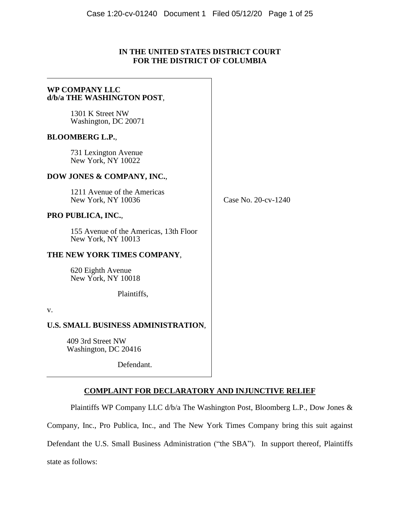# **IN THE UNITED STATES DISTRICT COURT FOR THE DISTRICT OF COLUMBIA**

# **WP COMPANY LLC d/b/a THE WASHINGTON POST**, 1301 K Street NW Washington, DC 20071 **BLOOMBERG L.P.**, 731 Lexington Avenue New York, NY 10022 **DOW JONES & COMPANY, INC.**, 1211 Avenue of the Americas New York, NY 10036 **PRO PUBLICA, INC.**, 155 Avenue of the Americas, 13th Floor New York, NY 10013 **THE NEW YORK TIMES COMPANY**, 620 Eighth Avenue New York, NY 10018 Plaintiffs, v. **U.S. SMALL BUSINESS ADMINISTRATION**, 409 3rd Street NW  $\overline{\phantom{a}}$  $\overline{\phantom{a}}$  $\overline{\phantom{a}}$

Washington, DC 20416

Defendant.

# **COMPLAINT FOR DECLARATORY AND INJUNCTIVE RELIEF**

Plaintiffs WP Company LLC d/b/a The Washington Post, Bloomberg L.P., Dow Jones &

Company, Inc., Pro Publica, Inc., and The New York Times Company bring this suit against

Defendant the U.S. Small Business Administration ("the SBA"). In support thereof, Plaintiffs

state as follows:

Case No. 20-cv-1240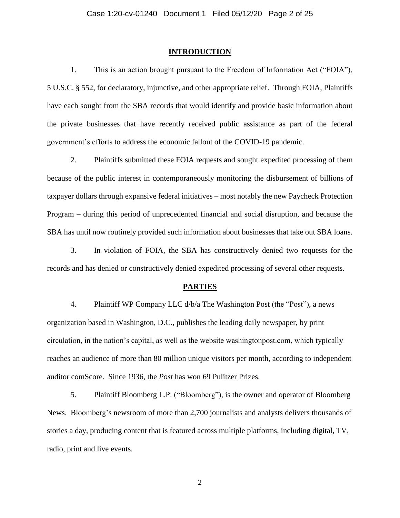#### **INTRODUCTION**

1. This is an action brought pursuant to the Freedom of Information Act ("FOIA"), 5 U.S.C. § 552, for declaratory, injunctive, and other appropriate relief. Through FOIA, Plaintiffs have each sought from the SBA records that would identify and provide basic information about the private businesses that have recently received public assistance as part of the federal government's efforts to address the economic fallout of the COVID-19 pandemic.

2. Plaintiffs submitted these FOIA requests and sought expedited processing of them because of the public interest in contemporaneously monitoring the disbursement of billions of taxpayer dollars through expansive federal initiatives – most notably the new Paycheck Protection Program – during this period of unprecedented financial and social disruption, and because the SBA has until now routinely provided such information about businesses that take out SBA loans.

3. In violation of FOIA, the SBA has constructively denied two requests for the records and has denied or constructively denied expedited processing of several other requests.

#### **PARTIES**

4. Plaintiff WP Company LLC d/b/a The Washington Post (the "Post"), a news organization based in Washington, D.C., publishes the leading daily newspaper, by print circulation, in the nation's capital, as well as the website washingtonpost.com, which typically reaches an audience of more than 80 million unique visitors per month, according to independent auditor comScore. Since 1936, the *Post* has won 69 Pulitzer Prizes.

5. Plaintiff Bloomberg L.P. ("Bloomberg"), is the owner and operator of Bloomberg News. Bloomberg's newsroom of more than 2,700 journalists and analysts delivers thousands of stories a day, producing content that is featured across multiple platforms, including digital, TV, radio, print and live events.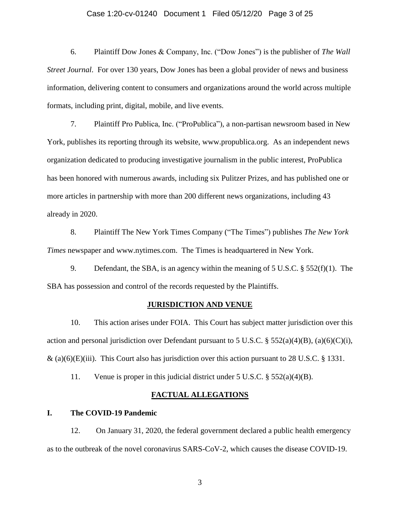#### Case 1:20-cv-01240 Document 1 Filed 05/12/20 Page 3 of 25

6. Plaintiff Dow Jones & Company, Inc. ("Dow Jones") is the publisher of *The Wall Street Journal*. For over 130 years, Dow Jones has been a global provider of news and business information, delivering content to consumers and organizations around the world across multiple formats, including print, digital, mobile, and live events.

7. Plaintiff Pro Publica, Inc. ("ProPublica"), a non-partisan newsroom based in New York, publishes its reporting through its website, www.propublica.org. As an independent news organization dedicated to producing investigative journalism in the public interest, ProPublica has been honored with numerous awards, including six Pulitzer Prizes, and has published one or more articles in partnership with more than 200 different news organizations, including 43 already in 2020.

8. Plaintiff The New York Times Company ("The Times") publishes *The New York Times* newspaper and www.nytimes.com. The Times is headquartered in New York.

9. Defendant, the SBA, is an agency within the meaning of 5 U.S.C. § 552(f)(1). The SBA has possession and control of the records requested by the Plaintiffs.

## **JURISDICTION AND VENUE**

10. This action arises under FOIA. This Court has subject matter jurisdiction over this action and personal jurisdiction over Defendant pursuant to 5 U.S.C. §  $552(a)(4)(B)$ , (a)(6)(C)(i),  $\&$  (a)(6)(E)(iii). This Court also has jurisdiction over this action pursuant to 28 U.S.C. § 1331.

11. Venue is proper in this judicial district under 5 U.S.C. § 552(a)(4)(B).

## **FACTUAL ALLEGATIONS**

#### **I. The COVID-19 Pandemic**

12. On January 31, 2020, the federal government declared a public health emergency as to the outbreak of the novel coronavirus SARS-CoV-2, which causes the disease COVID-19.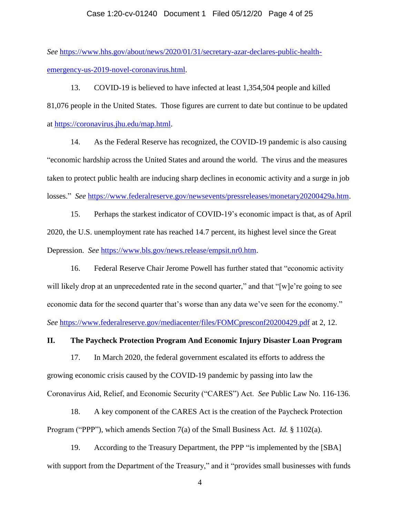#### Case 1:20-cv-01240 Document 1 Filed 05/12/20 Page 4 of 25

*See* [https://www.hhs.gov/about/news/2020/01/31/secretary-azar-declares-public-health](https://www.hhs.gov/about/news/2020/01/31/secretary-azar-declares-public-health-emergency-us-2019-novel-coronavirus.html)[emergency-us-2019-novel-coronavirus.html.](https://www.hhs.gov/about/news/2020/01/31/secretary-azar-declares-public-health-emergency-us-2019-novel-coronavirus.html)

13. COVID-19 is believed to have infected at least 1,354,504 people and killed 81,076 people in the United States. Those figures are current to date but continue to be updated at [https://coronavirus.jhu.edu/map.html.](https://coronavirus.jhu.edu/map.html)

14. As the Federal Reserve has recognized, the COVID-19 pandemic is also causing "economic hardship across the United States and around the world. The virus and the measures taken to protect public health are inducing sharp declines in economic activity and a surge in job losses." *See* [https://www.federalreserve.gov/newsevents/pressreleases/monetary20200429a.htm.](https://www.federalreserve.gov/newsevents/pressreleases/monetary20200429a.htm)

15. Perhaps the starkest indicator of COVID-19's economic impact is that, as of April 2020, the U.S. unemployment rate has reached 14.7 percent, its highest level since the Great Depression. *See* [https://www.bls.gov/news.release/empsit.nr0.htm.](https://www.bls.gov/news.release/empsit.nr0.htm)

16. Federal Reserve Chair Jerome Powell has further stated that "economic activity will likely drop at an unprecedented rate in the second quarter," and that "[w]e're going to see economic data for the second quarter that's worse than any data we've seen for the economy." *See* <https://www.federalreserve.gov/mediacenter/files/FOMCpresconf20200429.pdf> at 2, 12.

#### **II. The Paycheck Protection Program And Economic Injury Disaster Loan Program**

17. In March 2020, the federal government escalated its efforts to address the growing economic crisis caused by the COVID-19 pandemic by passing into law the Coronavirus Aid, Relief, and Economic Security ("CARES") Act. *See* Public Law No. 116-136.

18. A key component of the CARES Act is the creation of the Paycheck Protection Program ("PPP"), which amends Section 7(a) of the Small Business Act. *Id.* § 1102(a).

19. According to the Treasury Department, the PPP "is implemented by the [SBA] with support from the Department of the Treasury," and it "provides small businesses with funds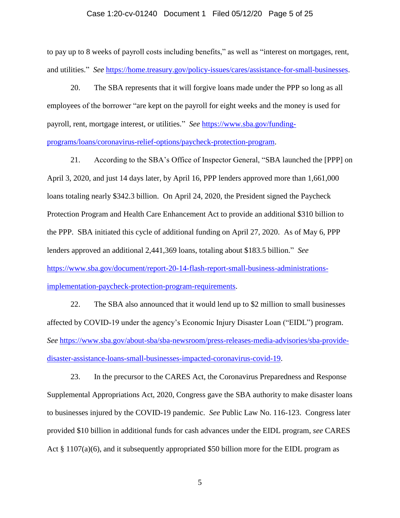#### Case 1:20-cv-01240 Document 1 Filed 05/12/20 Page 5 of 25

to pay up to 8 weeks of payroll costs including benefits," as well as "interest on mortgages, rent, and utilities." *See* [https://home.treasury.gov/policy-issues/cares/assistance-for-small-businesses.](https://home.treasury.gov/policy-issues/cares/assistance-for-small-businesses)

20. The SBA represents that it will forgive loans made under the PPP so long as all employees of the borrower "are kept on the payroll for eight weeks and the money is used for payroll, rent, mortgage interest, or utilities." *See* [https://www.sba.gov/funding](https://www.sba.gov/funding-programs/loans/coronavirus-relief-options/paycheck-protection-program)[programs/loans/coronavirus-relief-options/paycheck-protection-program.](https://www.sba.gov/funding-programs/loans/coronavirus-relief-options/paycheck-protection-program)

21. According to the SBA's Office of Inspector General, "SBA launched the [PPP] on April 3, 2020, and just 14 days later, by April 16, PPP lenders approved more than 1,661,000 loans totaling nearly \$342.3 billion. On April 24, 2020, the President signed the Paycheck Protection Program and Health Care Enhancement Act to provide an additional \$310 billion to the PPP. SBA initiated this cycle of additional funding on April 27, 2020. As of May 6, PPP lenders approved an additional 2,441,369 loans, totaling about \$183.5 billion." *See* [https://www.sba.gov/document/report-20-14-flash-report-small-business-administrations](https://www.sba.gov/document/report-20-14-flash-report-small-business-administrations-implementation-paycheck-protection-program-requirements)[implementation-paycheck-protection-program-requirements.](https://www.sba.gov/document/report-20-14-flash-report-small-business-administrations-implementation-paycheck-protection-program-requirements)

22. The SBA also announced that it would lend up to \$2 million to small businesses affected by COVID-19 under the agency's Economic Injury Disaster Loan ("EIDL") program. *See* [https://www.sba.gov/about-sba/sba-newsroom/press-releases-media-advisories/sba-provide](https://www.sba.gov/about-sba/sba-newsroom/press-releases-media-advisories/sba-provide-disaster-assistance-loans-small-businesses-impacted-coronavirus-covid-19)[disaster-assistance-loans-small-businesses-impacted-coronavirus-covid-19.](https://www.sba.gov/about-sba/sba-newsroom/press-releases-media-advisories/sba-provide-disaster-assistance-loans-small-businesses-impacted-coronavirus-covid-19)

23. In the precursor to the CARES Act, the Coronavirus Preparedness and Response Supplemental Appropriations Act, 2020, Congress gave the SBA authority to make disaster loans to businesses injured by the COVID-19 pandemic. *See* Public Law No. 116-123. Congress later provided \$10 billion in additional funds for cash advances under the EIDL program, *see* CARES Act  $\S 1107(a)(6)$ , and it subsequently appropriated \$50 billion more for the EIDL program as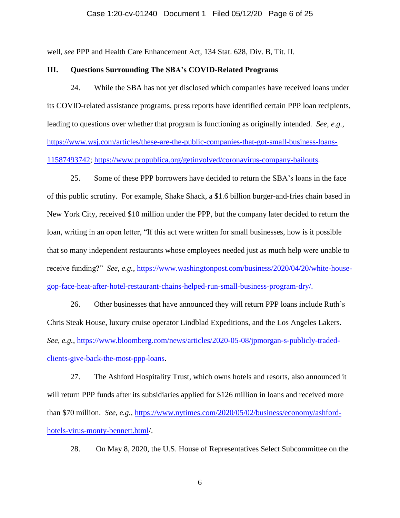# Case 1:20-cv-01240 Document 1 Filed 05/12/20 Page 6 of 25

well, *see* PPP and Health Care Enhancement Act, 134 Stat. 628, Div. B, Tit. II.

## **III. Questions Surrounding The SBA's COVID-Related Programs**

24. While the SBA has not yet disclosed which companies have received loans under its COVID-related assistance programs, press reports have identified certain PPP loan recipients, leading to questions over whether that program is functioning as originally intended. *See, e.g.*, [https://www.wsj.com/articles/these-are-the-public-companies-that-got-small-business-loans-](https://www.wsj.com/articles/these-are-the-public-companies-that-got-small-business-loans-11587493742)[11587493742;](https://www.wsj.com/articles/these-are-the-public-companies-that-got-small-business-loans-11587493742) [https://www.propublica.org/getinvolved/coronavirus-company-bailouts.](https://www.propublica.org/getinvolved/coronavirus-company-bailouts)

25. Some of these PPP borrowers have decided to return the SBA's loans in the face of this public scrutiny. For example, Shake Shack, a \$1.6 billion burger-and-fries chain based in New York City, received \$10 million under the PPP, but the company later decided to return the loan, writing in an open letter, "If this act were written for small businesses, how is it possible that so many independent restaurants whose employees needed just as much help were unable to receive funding?" *See, e.g.*, [https://www.washingtonpost.com/business/2020/04/20/white-house](https://www.washingtonpost.com/business/2020/04/20/white-house-gop-face-heat-after-hotel-restaurant-chains-helped-run-small-business-program-dry/)[gop-face-heat-after-hotel-restaurant-chains-helped-run-small-business-program-dry/.](https://www.washingtonpost.com/business/2020/04/20/white-house-gop-face-heat-after-hotel-restaurant-chains-helped-run-small-business-program-dry/)

26. Other businesses that have announced they will return PPP loans include Ruth's Chris Steak House, luxury cruise operator Lindblad Expeditions, and the Los Angeles Lakers. *See, e.g.*, [https://www.bloomberg.com/news/articles/2020-05-08/jpmorgan-s-publicly-traded](https://www.bloomberg.com/news/articles/2020-05-08/jpmorgan-s-publicly-traded-clients-give-back-the-most-ppp-loans)[clients-give-back-the-most-ppp-loans.](https://www.bloomberg.com/news/articles/2020-05-08/jpmorgan-s-publicly-traded-clients-give-back-the-most-ppp-loans)

27. The Ashford Hospitality Trust, which owns hotels and resorts, also announced it will return PPP funds after its subsidiaries applied for \$126 million in loans and received more than \$70 million. *See, e.g.*, [https://www.nytimes.com/2020/05/02/business/economy/ashford](https://www.nytimes.com/2020/05/02/business/economy/ashford-hotels-virus-monty-bennett.html)[hotels-virus-monty-bennett.html/](https://www.nytimes.com/2020/05/02/business/economy/ashford-hotels-virus-monty-bennett.html).

28. On May 8, 2020, the U.S. House of Representatives Select Subcommittee on the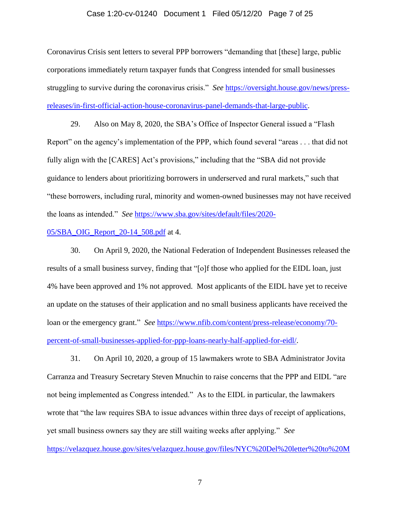#### Case 1:20-cv-01240 Document 1 Filed 05/12/20 Page 7 of 25

Coronavirus Crisis sent letters to several PPP borrowers "demanding that [these] large, public corporations immediately return taxpayer funds that Congress intended for small businesses struggling to survive during the coronavirus crisis." *See* [https://oversight.house.gov/news/press](https://oversight.house.gov/news/press-releases/in-first-official-action-house-coronavirus-panel-demands-that-large-public)[releases/in-first-official-action-house-coronavirus-panel-demands-that-large-public.](https://oversight.house.gov/news/press-releases/in-first-official-action-house-coronavirus-panel-demands-that-large-public)

29. Also on May 8, 2020, the SBA's Office of Inspector General issued a "Flash Report" on the agency's implementation of the PPP, which found several "areas . . . that did not fully align with the [CARES] Act's provisions," including that the "SBA did not provide guidance to lenders about prioritizing borrowers in underserved and rural markets," such that "these borrowers, including rural, minority and women-owned businesses may not have received the loans as intended." *See* [https://www.sba.gov/sites/default/files/2020-](https://www.sba.gov/sites/default/files/2020-05/SBA_OIG_Report_20-14_508.pdf)

# [05/SBA\\_OIG\\_Report\\_20-14\\_508.pdf](https://www.sba.gov/sites/default/files/2020-05/SBA_OIG_Report_20-14_508.pdf) at 4.

30. On April 9, 2020, the National Federation of Independent Businesses released the results of a small business survey, finding that "[o]f those who applied for the EIDL loan, just 4% have been approved and 1% not approved. Most applicants of the EIDL have yet to receive an update on the statuses of their application and no small business applicants have received the loan or the emergency grant." *See* [https://www.nfib.com/content/press-release/economy/70](https://www.nfib.com/content/press-release/economy/70-percent-of-small-businesses-applied-for-ppp-loans-nearly-half-applied-for-eidl/) [percent-of-small-businesses-applied-for-ppp-loans-nearly-half-applied-for-eidl/.](https://www.nfib.com/content/press-release/economy/70-percent-of-small-businesses-applied-for-ppp-loans-nearly-half-applied-for-eidl/)

31. On April 10, 2020, a group of 15 lawmakers wrote to SBA Administrator Jovita Carranza and Treasury Secretary Steven Mnuchin to raise concerns that the PPP and EIDL "are not being implemented as Congress intended." As to the EIDL in particular, the lawmakers wrote that "the law requires SBA to issue advances within three days of receipt of applications, yet small business owners say they are still waiting weeks after applying." *See*

[https://velazquez.house.gov/sites/velazquez.house.gov/files/NYC%20Del%20letter%20to%20M](https://velazquez.house.gov/sites/velazquez.house.gov/files/NYC%20Del%20letter%20to%20Mnuchin%20and%20Carranza%2004-10-20%20%28signatures%29%20final.pdf)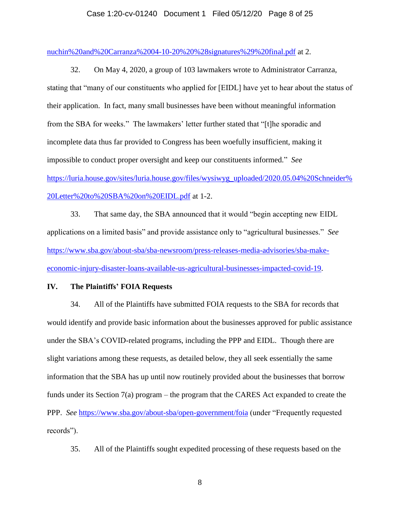#### Case 1:20-cv-01240 Document 1 Filed 05/12/20 Page 8 of 25

[nuchin%20and%20Carranza%2004-10-20%20%28signatures%29%20final.pdf](https://velazquez.house.gov/sites/velazquez.house.gov/files/NYC%20Del%20letter%20to%20Mnuchin%20and%20Carranza%2004-10-20%20%28signatures%29%20final.pdf) at 2.

32. On May 4, 2020, a group of 103 lawmakers wrote to Administrator Carranza, stating that "many of our constituents who applied for [EIDL] have yet to hear about the status of their application. In fact, many small businesses have been without meaningful information from the SBA for weeks." The lawmakers' letter further stated that "[t]he sporadic and incomplete data thus far provided to Congress has been woefully insufficient, making it impossible to conduct proper oversight and keep our constituents informed." *See* [https://luria.house.gov/sites/luria.house.gov/files/wysiwyg\\_uploaded/2020.05.04%20Schneider%](https://luria.house.gov/sites/luria.house.gov/files/wysiwyg_uploaded/2020.05.04%20Schneider%20Letter%20to%20SBA%20on%20EIDL.pdf) [20Letter%20to%20SBA%20on%20EIDL.pdf](https://luria.house.gov/sites/luria.house.gov/files/wysiwyg_uploaded/2020.05.04%20Schneider%20Letter%20to%20SBA%20on%20EIDL.pdf) at 1-2.

33. That same day, the SBA announced that it would "begin accepting new EIDL applications on a limited basis" and provide assistance only to "agricultural businesses." *See* [https://www.sba.gov/about-sba/sba-newsroom/press-releases-media-advisories/sba-make](https://www.sba.gov/about-sba/sba-newsroom/press-releases-media-advisories/sba-make-economic-injury-disaster-loans-available-us-agricultural-businesses-impacted-covid-19)[economic-injury-disaster-loans-available-us-agricultural-businesses-impacted-covid-19.](https://www.sba.gov/about-sba/sba-newsroom/press-releases-media-advisories/sba-make-economic-injury-disaster-loans-available-us-agricultural-businesses-impacted-covid-19)

## **IV. The Plaintiffs' FOIA Requests**

34. All of the Plaintiffs have submitted FOIA requests to the SBA for records that would identify and provide basic information about the businesses approved for public assistance under the SBA's COVID-related programs, including the PPP and EIDL. Though there are slight variations among these requests, as detailed below, they all seek essentially the same information that the SBA has up until now routinely provided about the businesses that borrow funds under its Section 7(a) program – the program that the CARES Act expanded to create the PPP. *See* <https://www.sba.gov/about-sba/open-government/foia> (under "Frequently requested records").

35. All of the Plaintiffs sought expedited processing of these requests based on the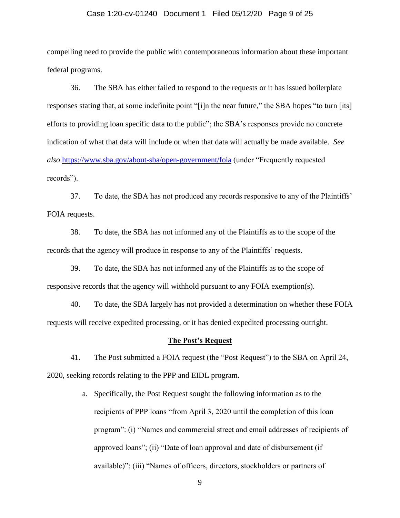#### Case 1:20-cv-01240 Document 1 Filed 05/12/20 Page 9 of 25

compelling need to provide the public with contemporaneous information about these important federal programs.

36. The SBA has either failed to respond to the requests or it has issued boilerplate responses stating that, at some indefinite point "[i]n the near future," the SBA hopes "to turn [its] efforts to providing loan specific data to the public"; the SBA's responses provide no concrete indication of what that data will include or when that data will actually be made available. *See also* <https://www.sba.gov/about-sba/open-government/foia> (under "Frequently requested records").

37. To date, the SBA has not produced any records responsive to any of the Plaintiffs' FOIA requests.

38. To date, the SBA has not informed any of the Plaintiffs as to the scope of the records that the agency will produce in response to any of the Plaintiffs' requests.

39. To date, the SBA has not informed any of the Plaintiffs as to the scope of responsive records that the agency will withhold pursuant to any FOIA exemption(s).

40. To date, the SBA largely has not provided a determination on whether these FOIA requests will receive expedited processing, or it has denied expedited processing outright.

#### **The Post's Request**

41. The Post submitted a FOIA request (the "Post Request") to the SBA on April 24, 2020, seeking records relating to the PPP and EIDL program.

> a. Specifically, the Post Request sought the following information as to the recipients of PPP loans "from April 3, 2020 until the completion of this loan program": (i) "Names and commercial street and email addresses of recipients of approved loans"; (ii) "Date of loan approval and date of disbursement (if available)"; (iii) "Names of officers, directors, stockholders or partners of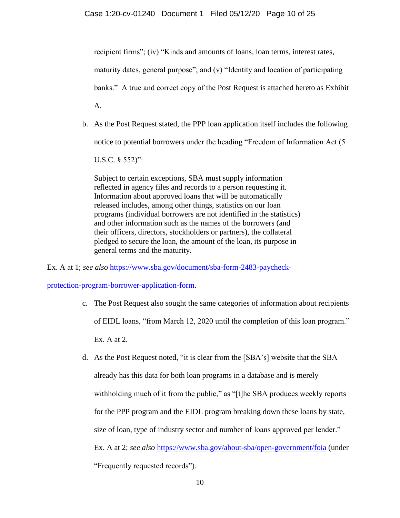recipient firms"; (iv) "Kinds and amounts of loans, loan terms, interest rates, maturity dates, general purpose"; and (v) "Identity and location of participating banks." A true and correct copy of the Post Request is attached hereto as Exhibit A.

b. As the Post Request stated, the PPP loan application itself includes the following notice to potential borrowers under the heading "Freedom of Information Act (5

U.S.C. § 552)":

Subject to certain exceptions, SBA must supply information reflected in agency files and records to a person requesting it. Information about approved loans that will be automatically released includes, among other things, statistics on our loan programs (individual borrowers are not identified in the statistics) and other information such as the names of the borrowers (and their officers, directors, stockholders or partners), the collateral pledged to secure the loan, the amount of the loan, its purpose in general terms and the maturity.

Ex. A at 1; *see also* [https://www.sba.gov/document/sba-form-2483-paycheck-](https://www.sba.gov/document/sba-form-2483-paycheck-protection-program-borrower-application-form)

[protection-program-borrower-application-form.](https://www.sba.gov/document/sba-form-2483-paycheck-protection-program-borrower-application-form)

- c. The Post Request also sought the same categories of information about recipients of EIDL loans, "from March 12, 2020 until the completion of this loan program." Ex. A at 2.
- d. As the Post Request noted, "it is clear from the [SBA's] website that the SBA already has this data for both loan programs in a database and is merely withholding much of it from the public," as "[t]he SBA produces weekly reports for the PPP program and the EIDL program breaking down these loans by state, size of loan, type of industry sector and number of loans approved per lender." Ex. A at 2; *see also* <https://www.sba.gov/about-sba/open-government/foia> (under "Frequently requested records").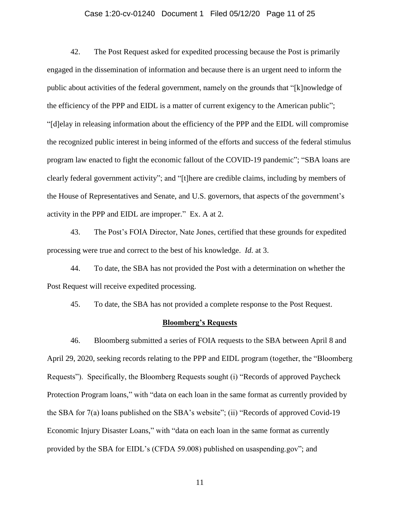#### Case 1:20-cv-01240 Document 1 Filed 05/12/20 Page 11 of 25

42. The Post Request asked for expedited processing because the Post is primarily engaged in the dissemination of information and because there is an urgent need to inform the public about activities of the federal government, namely on the grounds that "[k]nowledge of the efficiency of the PPP and EIDL is a matter of current exigency to the American public"; "[d]elay in releasing information about the efficiency of the PPP and the EIDL will compromise the recognized public interest in being informed of the efforts and success of the federal stimulus program law enacted to fight the economic fallout of the COVID-19 pandemic"; "SBA loans are clearly federal government activity"; and "[t]here are credible claims, including by members of the House of Representatives and Senate, and U.S. governors, that aspects of the government's activity in the PPP and EIDL are improper." Ex. A at 2.

43. The Post's FOIA Director, Nate Jones, certified that these grounds for expedited processing were true and correct to the best of his knowledge. *Id.* at 3.

44. To date, the SBA has not provided the Post with a determination on whether the Post Request will receive expedited processing.

45. To date, the SBA has not provided a complete response to the Post Request.

## **Bloomberg's Requests**

46. Bloomberg submitted a series of FOIA requests to the SBA between April 8 and April 29, 2020, seeking records relating to the PPP and EIDL program (together, the "Bloomberg Requests"). Specifically, the Bloomberg Requests sought (i) "Records of approved Paycheck Protection Program loans," with "data on each loan in the same format as currently provided by the SBA for 7(a) loans published on the SBA's website"; (ii) "Records of approved Covid-19 Economic Injury Disaster Loans," with "data on each loan in the same format as currently provided by the SBA for EIDL's (CFDA 59.008) published on usaspending.gov"; and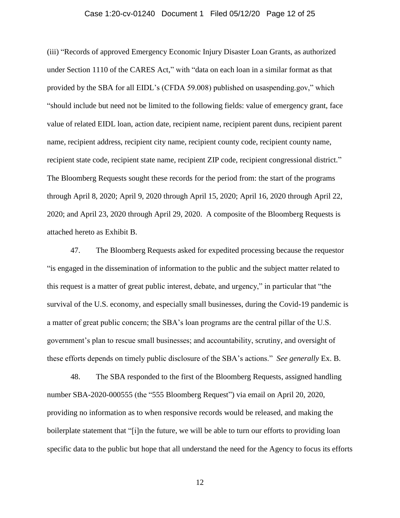#### Case 1:20-cv-01240 Document 1 Filed 05/12/20 Page 12 of 25

(iii) "Records of approved Emergency Economic Injury Disaster Loan Grants, as authorized under Section 1110 of the CARES Act," with "data on each loan in a similar format as that provided by the SBA for all EIDL's (CFDA 59.008) published on usaspending.gov," which "should include but need not be limited to the following fields: value of emergency grant, face value of related EIDL loan, action date, recipient name, recipient parent duns, recipient parent name, recipient address, recipient city name, recipient county code, recipient county name, recipient state code, recipient state name, recipient ZIP code, recipient congressional district." The Bloomberg Requests sought these records for the period from: the start of the programs through April 8, 2020; April 9, 2020 through April 15, 2020; April 16, 2020 through April 22, 2020; and April 23, 2020 through April 29, 2020. A composite of the Bloomberg Requests is attached hereto as Exhibit B.

47. The Bloomberg Requests asked for expedited processing because the requestor "is engaged in the dissemination of information to the public and the subject matter related to this request is a matter of great public interest, debate, and urgency," in particular that "the survival of the U.S. economy, and especially small businesses, during the Covid-19 pandemic is a matter of great public concern; the SBA's loan programs are the central pillar of the U.S. government's plan to rescue small businesses; and accountability, scrutiny, and oversight of these efforts depends on timely public disclosure of the SBA's actions." *See generally* Ex. B.

48. The SBA responded to the first of the Bloomberg Requests, assigned handling number SBA-2020-000555 (the "555 Bloomberg Request") via email on April 20, 2020, providing no information as to when responsive records would be released, and making the boilerplate statement that "[i]n the future, we will be able to turn our efforts to providing loan specific data to the public but hope that all understand the need for the Agency to focus its efforts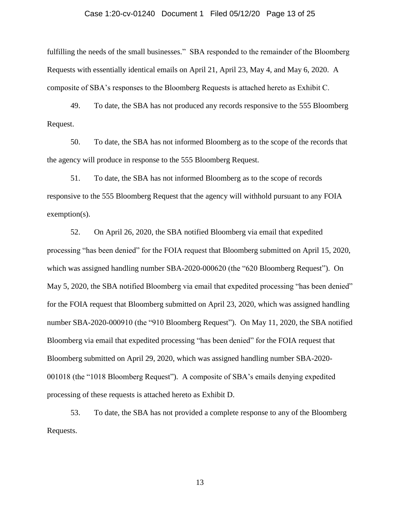#### Case 1:20-cv-01240 Document 1 Filed 05/12/20 Page 13 of 25

fulfilling the needs of the small businesses." SBA responded to the remainder of the Bloomberg Requests with essentially identical emails on April 21, April 23, May 4, and May 6, 2020. A composite of SBA's responses to the Bloomberg Requests is attached hereto as Exhibit C.

49. To date, the SBA has not produced any records responsive to the 555 Bloomberg Request.

50. To date, the SBA has not informed Bloomberg as to the scope of the records that the agency will produce in response to the 555 Bloomberg Request.

51. To date, the SBA has not informed Bloomberg as to the scope of records responsive to the 555 Bloomberg Request that the agency will withhold pursuant to any FOIA exemption(s).

52. On April 26, 2020, the SBA notified Bloomberg via email that expedited processing "has been denied" for the FOIA request that Bloomberg submitted on April 15, 2020, which was assigned handling number SBA-2020-000620 (the "620 Bloomberg Request"). On May 5, 2020, the SBA notified Bloomberg via email that expedited processing "has been denied" for the FOIA request that Bloomberg submitted on April 23, 2020, which was assigned handling number SBA-2020-000910 (the "910 Bloomberg Request"). On May 11, 2020, the SBA notified Bloomberg via email that expedited processing "has been denied" for the FOIA request that Bloomberg submitted on April 29, 2020, which was assigned handling number SBA-2020- 001018 (the "1018 Bloomberg Request"). A composite of SBA's emails denying expedited processing of these requests is attached hereto as Exhibit D.

53. To date, the SBA has not provided a complete response to any of the Bloomberg Requests.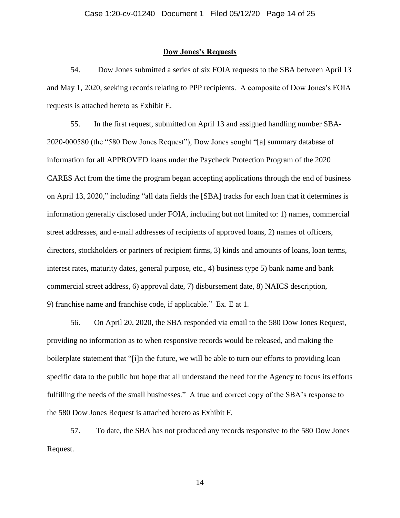#### **Dow Jones's Requests**

54. Dow Jones submitted a series of six FOIA requests to the SBA between April 13 and May 1, 2020, seeking records relating to PPP recipients. A composite of Dow Jones's FOIA requests is attached hereto as Exhibit E.

55. In the first request, submitted on April 13 and assigned handling number SBA-2020-000580 (the "580 Dow Jones Request"), Dow Jones sought "[a] summary database of information for all APPROVED loans under the Paycheck Protection Program of the 2020 CARES Act from the time the program began accepting applications through the end of business on April 13, 2020," including "all data fields the [SBA] tracks for each loan that it determines is information generally disclosed under FOIA, including but not limited to: 1) names, commercial street addresses, and e-mail addresses of recipients of approved loans, 2) names of officers, directors, stockholders or partners of recipient firms, 3) kinds and amounts of loans, loan terms, interest rates, maturity dates, general purpose, etc., 4) business type 5) bank name and bank commercial street address, 6) approval date, 7) disbursement date, 8) NAICS description, 9) franchise name and franchise code, if applicable." Ex. E at 1.

56. On April 20, 2020, the SBA responded via email to the 580 Dow Jones Request, providing no information as to when responsive records would be released, and making the boilerplate statement that "[i]n the future, we will be able to turn our efforts to providing loan specific data to the public but hope that all understand the need for the Agency to focus its efforts fulfilling the needs of the small businesses." A true and correct copy of the SBA's response to the 580 Dow Jones Request is attached hereto as Exhibit F.

57. To date, the SBA has not produced any records responsive to the 580 Dow Jones Request.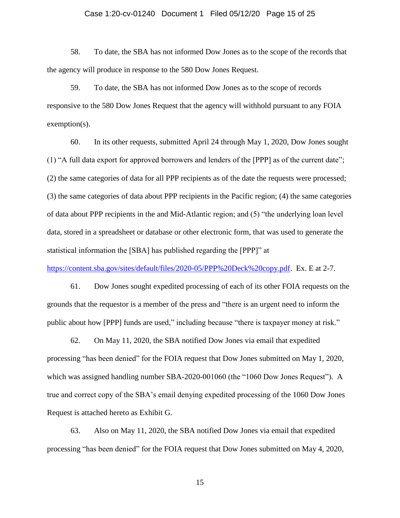#### Case 1:20-cv-01240 Document 1 Filed 05/12/20 Page 15 of 25

58. To date, the SBA has not informed Dow Jones as to the scope of the records that the agency will produce in response to the 580 Dow Jones Request.

59. To date, the SBA has not informed Dow Jones as to the scope of records responsive to the 580 Dow Jones Request that the agency will withhold pursuant to any FOIA exemption(s).

60. In its other requests, submitted April 24 through May 1, 2020, Dow Jones sought (1) "A full data export for approved borrowers and lenders of the [PPP] as of the current date"; (2) the same categories of data for all PPP recipients as of the date the requests were processed; (3) the same categories of data about PPP recipients in the Pacific region; (4) the same categories of data about PPP recipients in the and Mid-Atlantic region; and (5) "the underlying loan level data, stored in a spreadsheet or database or other electronic form, that was used to generate the statistical information the [SBA] has published regarding the [PPP]" at

[https://content.sba.gov/sites/default/files/2020-05/PPP%20Deck%20copy.pdf.](https://content.sba.gov/sites/default/files/2020-05/PPP%20Deck%20copy.pdf) Ex. E at 2-7.

61. Dow Jones sought expedited processing of each of its other FOIA requests on the grounds that the requestor is a member of the press and "there is an urgent need to inform the public about how [PPP] funds are used," including because "there is taxpayer money at risk."

62. On May 11, 2020, the SBA notified Dow Jones via email that expedited processing "has been denied" for the FOIA request that Dow Jones submitted on May 1, 2020, which was assigned handling number SBA-2020-001060 (the "1060 Dow Jones Request"). A true and correct copy of the SBA's email denying expedited processing of the 1060 Dow Jones Request is attached hereto as Exhibit G.

63. Also on May 11, 2020, the SBA notified Dow Jones via email that expedited processing "has been denied" for the FOIA request that Dow Jones submitted on May 4, 2020,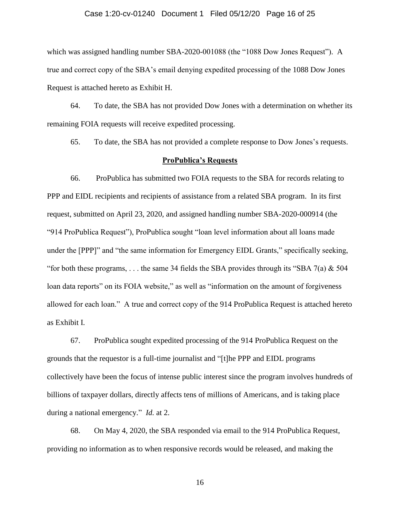#### Case 1:20-cv-01240 Document 1 Filed 05/12/20 Page 16 of 25

which was assigned handling number SBA-2020-001088 (the "1088 Dow Jones Request"). A true and correct copy of the SBA's email denying expedited processing of the 1088 Dow Jones Request is attached hereto as Exhibit H.

64. To date, the SBA has not provided Dow Jones with a determination on whether its remaining FOIA requests will receive expedited processing.

65. To date, the SBA has not provided a complete response to Dow Jones's requests.

## **ProPublica's Requests**

66. ProPublica has submitted two FOIA requests to the SBA for records relating to PPP and EIDL recipients and recipients of assistance from a related SBA program. In its first request, submitted on April 23, 2020, and assigned handling number SBA-2020-000914 (the "914 ProPublica Request"), ProPublica sought "loan level information about all loans made under the [PPP]" and "the same information for Emergency EIDL Grants," specifically seeking, "for both these programs, ... the same 34 fields the SBA provides through its "SBA 7(a) & 504 loan data reports" on its FOIA website," as well as "information on the amount of forgiveness allowed for each loan." A true and correct copy of the 914 ProPublica Request is attached hereto as Exhibit I.

67. ProPublica sought expedited processing of the 914 ProPublica Request on the grounds that the requestor is a full-time journalist and "[t]he PPP and EIDL programs collectively have been the focus of intense public interest since the program involves hundreds of billions of taxpayer dollars, directly affects tens of millions of Americans, and is taking place during a national emergency." *Id.* at 2.

68. On May 4, 2020, the SBA responded via email to the 914 ProPublica Request, providing no information as to when responsive records would be released, and making the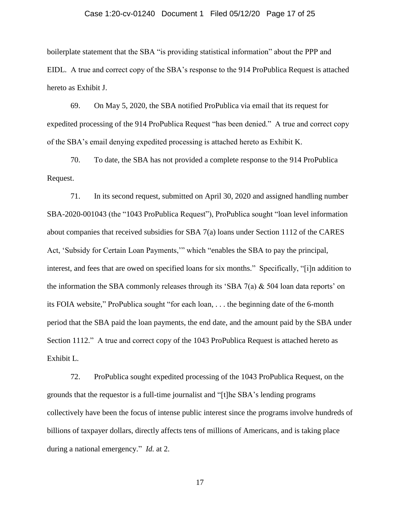#### Case 1:20-cv-01240 Document 1 Filed 05/12/20 Page 17 of 25

boilerplate statement that the SBA "is providing statistical information" about the PPP and EIDL. A true and correct copy of the SBA's response to the 914 ProPublica Request is attached hereto as Exhibit J.

69. On May 5, 2020, the SBA notified ProPublica via email that its request for expedited processing of the 914 ProPublica Request "has been denied." A true and correct copy of the SBA's email denying expedited processing is attached hereto as Exhibit K.

70. To date, the SBA has not provided a complete response to the 914 ProPublica Request.

71. In its second request, submitted on April 30, 2020 and assigned handling number SBA-2020-001043 (the "1043 ProPublica Request"), ProPublica sought "loan level information about companies that received subsidies for SBA 7(a) loans under Section 1112 of the CARES Act, 'Subsidy for Certain Loan Payments,'" which "enables the SBA to pay the principal, interest, and fees that are owed on specified loans for six months." Specifically, "[i]n addition to the information the SBA commonly releases through its 'SBA 7(a) & 504 loan data reports' on its FOIA website," ProPublica sought "for each loan, . . . the beginning date of the 6-month period that the SBA paid the loan payments, the end date, and the amount paid by the SBA under Section 1112." A true and correct copy of the 1043 ProPublica Request is attached hereto as Exhibit L.

72. ProPublica sought expedited processing of the 1043 ProPublica Request, on the grounds that the requestor is a full-time journalist and "[t]he SBA's lending programs collectively have been the focus of intense public interest since the programs involve hundreds of billions of taxpayer dollars, directly affects tens of millions of Americans, and is taking place during a national emergency." *Id.* at 2.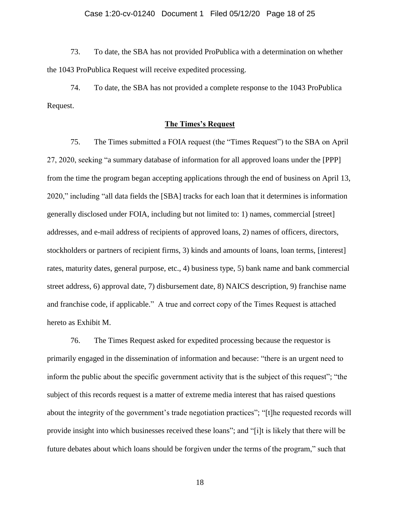#### Case 1:20-cv-01240 Document 1 Filed 05/12/20 Page 18 of 25

73. To date, the SBA has not provided ProPublica with a determination on whether the 1043 ProPublica Request will receive expedited processing.

74. To date, the SBA has not provided a complete response to the 1043 ProPublica Request.

# **The Times's Request**

75. The Times submitted a FOIA request (the "Times Request") to the SBA on April 27, 2020, seeking "a summary database of information for all approved loans under the [PPP] from the time the program began accepting applications through the end of business on April 13, 2020," including "all data fields the [SBA] tracks for each loan that it determines is information generally disclosed under FOIA, including but not limited to: 1) names, commercial [street] addresses, and e-mail address of recipients of approved loans, 2) names of officers, directors, stockholders or partners of recipient firms, 3) kinds and amounts of loans, loan terms, [interest] rates, maturity dates, general purpose, etc., 4) business type, 5) bank name and bank commercial street address, 6) approval date, 7) disbursement date, 8) NAICS description, 9) franchise name and franchise code, if applicable." A true and correct copy of the Times Request is attached hereto as Exhibit M.

76. The Times Request asked for expedited processing because the requestor is primarily engaged in the dissemination of information and because: "there is an urgent need to inform the public about the specific government activity that is the subject of this request"; "the subject of this records request is a matter of extreme media interest that has raised questions about the integrity of the government's trade negotiation practices"; "[t]he requested records will provide insight into which businesses received these loans"; and "[i]t is likely that there will be future debates about which loans should be forgiven under the terms of the program," such that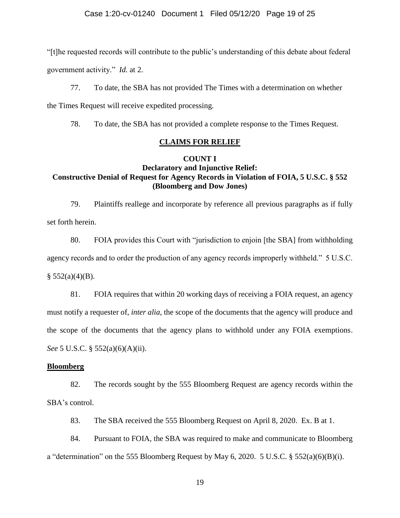"[t]he requested records will contribute to the public's understanding of this debate about federal government activity." *Id.* at 2.

77. To date, the SBA has not provided The Times with a determination on whether the Times Request will receive expedited processing.

78. To date, the SBA has not provided a complete response to the Times Request.

# **CLAIMS FOR RELIEF**

# **COUNT I**

# **Declaratory and Injunctive Relief: Constructive Denial of Request for Agency Records in Violation of FOIA, 5 U.S.C. § 552 (Bloomberg and Dow Jones)**

79. Plaintiffs reallege and incorporate by reference all previous paragraphs as if fully set forth herein.

80. FOIA provides this Court with "jurisdiction to enjoin [the SBA] from withholding agency records and to order the production of any agency records improperly withheld." 5 U.S.C.  $§ 552(a)(4)(B).$ 

81. FOIA requires that within 20 working days of receiving a FOIA request, an agency must notify a requester of, *inter alia*, the scope of the documents that the agency will produce and the scope of the documents that the agency plans to withhold under any FOIA exemptions. *See* 5 U.S.C. § 552(a)(6)(A)(ii).

## **Bloomberg**

82. The records sought by the 555 Bloomberg Request are agency records within the SBA's control.

83. The SBA received the 555 Bloomberg Request on April 8, 2020. Ex. B at 1.

84. Pursuant to FOIA, the SBA was required to make and communicate to Bloomberg a "determination" on the 555 Bloomberg Request by May 6, 2020. 5 U.S.C. § 552(a)(6)(B)(i).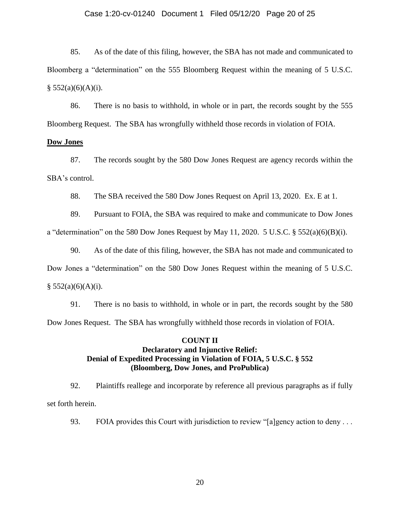#### Case 1:20-cv-01240 Document 1 Filed 05/12/20 Page 20 of 25

85. As of the date of this filing, however, the SBA has not made and communicated to Bloomberg a "determination" on the 555 Bloomberg Request within the meaning of 5 U.S.C.  $§ 552(a)(6)(A)(i).$ 

86. There is no basis to withhold, in whole or in part, the records sought by the 555 Bloomberg Request. The SBA has wrongfully withheld those records in violation of FOIA.

## **Dow Jones**

87. The records sought by the 580 Dow Jones Request are agency records within the SBA's control.

88. The SBA received the 580 Dow Jones Request on April 13, 2020. Ex. E at 1.

89. Pursuant to FOIA, the SBA was required to make and communicate to Dow Jones

a "determination" on the 580 Dow Jones Request by May 11, 2020. 5 U.S.C. § 552(a)(6)(B)(i).

90. As of the date of this filing, however, the SBA has not made and communicated to Dow Jones a "determination" on the 580 Dow Jones Request within the meaning of 5 U.S.C.  $§ 552(a)(6)(A)(i).$ 

91. There is no basis to withhold, in whole or in part, the records sought by the 580 Dow Jones Request. The SBA has wrongfully withheld those records in violation of FOIA.

# **COUNT II Declaratory and Injunctive Relief: Denial of Expedited Processing in Violation of FOIA, 5 U.S.C. § 552 (Bloomberg, Dow Jones, and ProPublica)**

92. Plaintiffs reallege and incorporate by reference all previous paragraphs as if fully set forth herein.

93. FOIA provides this Court with jurisdiction to review "[a]gency action to deny . . .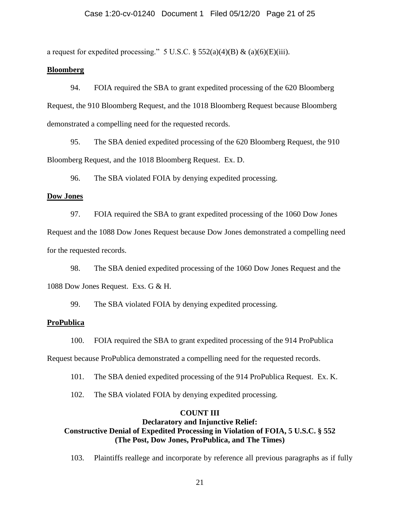a request for expedited processing." 5 U.S.C.  $\S$  552(a)(4)(B) & (a)(6)(E)(iii).

## **Bloomberg**

94. FOIA required the SBA to grant expedited processing of the 620 Bloomberg Request, the 910 Bloomberg Request, and the 1018 Bloomberg Request because Bloomberg demonstrated a compelling need for the requested records.

95. The SBA denied expedited processing of the 620 Bloomberg Request, the 910 Bloomberg Request, and the 1018 Bloomberg Request. Ex. D.

96. The SBA violated FOIA by denying expedited processing.

## **Dow Jones**

97. FOIA required the SBA to grant expedited processing of the 1060 Dow Jones

Request and the 1088 Dow Jones Request because Dow Jones demonstrated a compelling need for the requested records.

98. The SBA denied expedited processing of the 1060 Dow Jones Request and the 1088 Dow Jones Request. Exs. G & H.

99. The SBA violated FOIA by denying expedited processing.

## **ProPublica**

100. FOIA required the SBA to grant expedited processing of the 914 ProPublica

Request because ProPublica demonstrated a compelling need for the requested records.

- 101. The SBA denied expedited processing of the 914 ProPublica Request. Ex. K.
- 102. The SBA violated FOIA by denying expedited processing.

# **COUNT III**

# **Declaratory and Injunctive Relief: Constructive Denial of Expedited Processing in Violation of FOIA, 5 U.S.C. § 552 (The Post, Dow Jones, ProPublica, and The Times)**

103. Plaintiffs reallege and incorporate by reference all previous paragraphs as if fully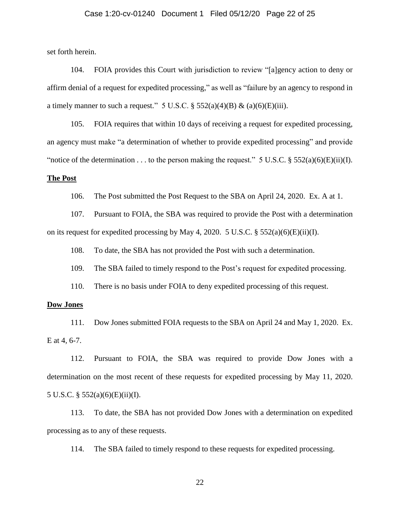#### Case 1:20-cv-01240 Document 1 Filed 05/12/20 Page 22 of 25

set forth herein.

104. FOIA provides this Court with jurisdiction to review "[a]gency action to deny or affirm denial of a request for expedited processing," as well as "failure by an agency to respond in a timely manner to such a request." 5 U.S.C.  $\S$  552(a)(4)(B) & (a)(6)(E)(iii).

105. FOIA requires that within 10 days of receiving a request for expedited processing, an agency must make "a determination of whether to provide expedited processing" and provide "notice of the determination . . . to the person making the request." 5 U.S.C.  $\S 552(a)(6)(E)(ii)(I)$ .

#### **The Post**

106. The Post submitted the Post Request to the SBA on April 24, 2020. Ex. A at 1.

107. Pursuant to FOIA, the SBA was required to provide the Post with a determination on its request for expedited processing by May 4, 2020. 5 U.S.C.  $\S 552(a)(6)(E)(ii)(I)$ .

108. To date, the SBA has not provided the Post with such a determination.

109. The SBA failed to timely respond to the Post's request for expedited processing.

110. There is no basis under FOIA to deny expedited processing of this request.

#### **Dow Jones**

111. Dow Jones submitted FOIA requests to the SBA on April 24 and May 1, 2020. Ex. E at 4, 6-7.

112. Pursuant to FOIA, the SBA was required to provide Dow Jones with a determination on the most recent of these requests for expedited processing by May 11, 2020. 5 U.S.C. § 552(a)(6)(E)(ii)(I).

113. To date, the SBA has not provided Dow Jones with a determination on expedited processing as to any of these requests.

114. The SBA failed to timely respond to these requests for expedited processing.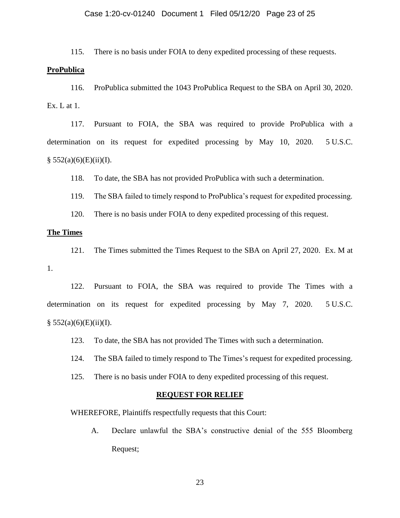#### Case 1:20-cv-01240 Document 1 Filed 05/12/20 Page 23 of 25

115. There is no basis under FOIA to deny expedited processing of these requests.

#### **ProPublica**

116. ProPublica submitted the 1043 ProPublica Request to the SBA on April 30, 2020. Ex. L at 1.

117. Pursuant to FOIA, the SBA was required to provide ProPublica with a determination on its request for expedited processing by May 10, 2020. 5 U.S.C.  $§ 552(a)(6)(E)(ii)(I).$ 

118. To date, the SBA has not provided ProPublica with such a determination.

119. The SBA failed to timely respond to ProPublica's request for expedited processing.

120. There is no basis under FOIA to deny expedited processing of this request.

# **The Times**

121. The Times submitted the Times Request to the SBA on April 27, 2020. Ex. M at

1.

122. Pursuant to FOIA, the SBA was required to provide The Times with a determination on its request for expedited processing by May 7, 2020. 5 U.S.C.  $§ 552(a)(6)(E)(ii)(I).$ 

123. To date, the SBA has not provided The Times with such a determination.

124. The SBA failed to timely respond to The Times's request for expedited processing.

125. There is no basis under FOIA to deny expedited processing of this request.

#### **REQUEST FOR RELIEF**

WHEREFORE, Plaintiffs respectfully requests that this Court:

A. Declare unlawful the SBA's constructive denial of the 555 Bloomberg Request;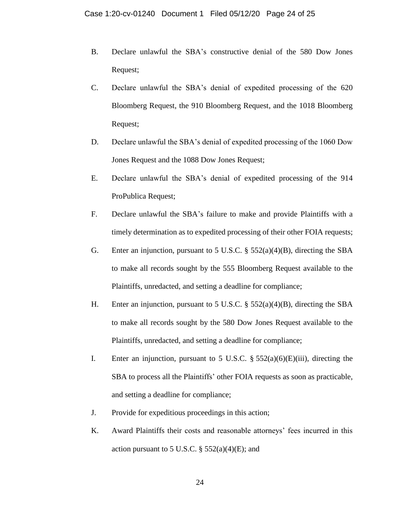- B. Declare unlawful the SBA's constructive denial of the 580 Dow Jones Request;
- C. Declare unlawful the SBA's denial of expedited processing of the 620 Bloomberg Request, the 910 Bloomberg Request, and the 1018 Bloomberg Request;
- D. Declare unlawful the SBA's denial of expedited processing of the 1060 Dow Jones Request and the 1088 Dow Jones Request;
- E. Declare unlawful the SBA's denial of expedited processing of the 914 ProPublica Request;
- F. Declare unlawful the SBA's failure to make and provide Plaintiffs with a timely determination as to expedited processing of their other FOIA requests;
- G. Enter an injunction, pursuant to 5 U.S.C.  $\S$  552(a)(4)(B), directing the SBA to make all records sought by the 555 Bloomberg Request available to the Plaintiffs, unredacted, and setting a deadline for compliance;
- H. Enter an injunction, pursuant to 5 U.S.C. § 552(a)(4)(B), directing the SBA to make all records sought by the 580 Dow Jones Request available to the Plaintiffs, unredacted, and setting a deadline for compliance;
- I. Enter an injunction, pursuant to 5 U.S.C.  $\S 552(a)(6)(E)(iii)$ , directing the SBA to process all the Plaintiffs' other FOIA requests as soon as practicable, and setting a deadline for compliance;
- J. Provide for expeditious proceedings in this action;
- K. Award Plaintiffs their costs and reasonable attorneys' fees incurred in this action pursuant to 5 U.S.C.  $\S$  552(a)(4)(E); and